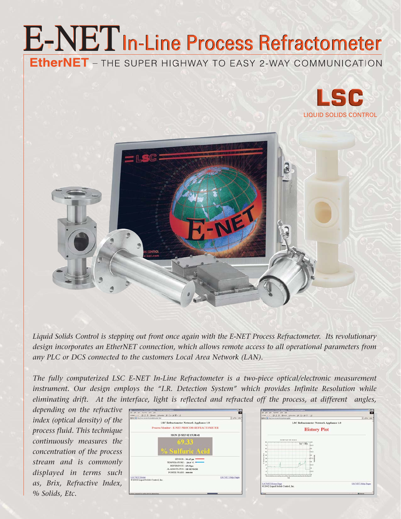## **E-NET** In-Line Process Refractometer **EtherNET** - THE SUPER HIGHWAY TO EASY 2-WAY COMMUNICATION





*Liquid Solids Control is stepping out front once again with the E-NET Process Refractometer. Its revolutionary design incorporates an EtherNET connection, which allows remote access to all operational parameters from any PLC or DCS connected to the customers Local Area Network (LAN).* 

*The fully computerized LSC E-NET In-Line Refractometer is a two-piece optical/electronic measurement instrument. Our design employs the "I.R. Detection System" which provides Infinite Resolution while eliminating drift. At the interface, light is reflected and refracted off the process, at different angles,* 

*depending on the refractive index (optical density) of the process fluid. This technique continuously measures the concentration of the process stream and is commonly displayed in terms such as, Brix, Refractive Index, % Solids, Etc.*